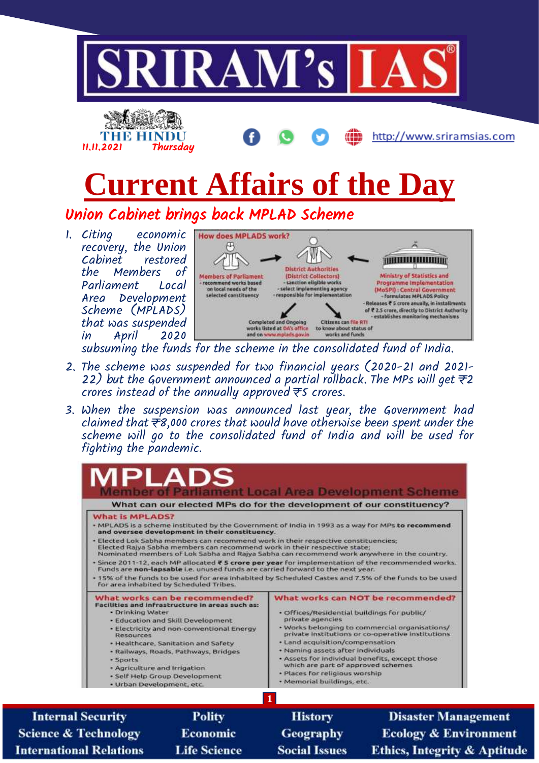

subsuming the funds for the scheme in the consolidated fund of India.

- 2. The scheme was suspended for two financial years (2020-21 and 2021- 22) but the Government announced a partial rollback. The MPs will get  $\pm 2$ crores instead of the annually approved ₹5 crores.
- 3. When the suspension was announced last year, the Government had claimed that ₹8,000 crores that would have otherwise been spent under the scheme will go to the consolidated fund of India and will be used for fighting the pandemic.



**Science & Technology International Relations** 

Economic **Life Science** 

Geography **Social Issues** 

**Disaster Management Ecology & Environment Ethics, Integrity & Aptitude**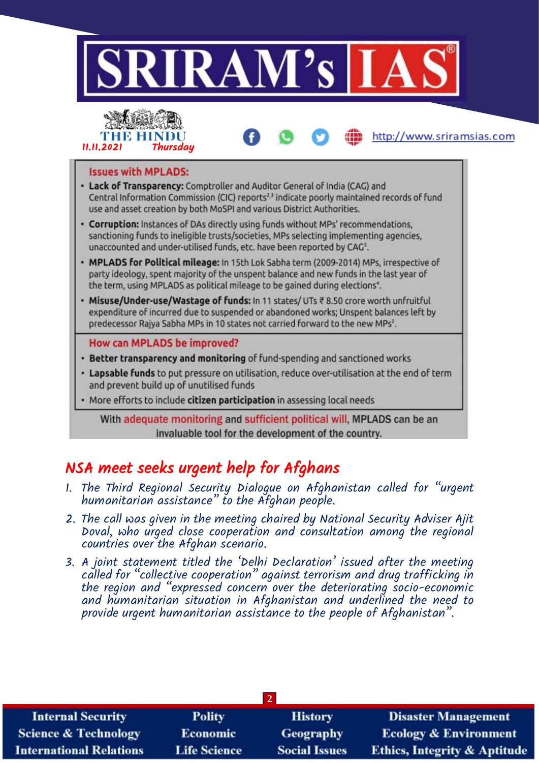

With adequate monitoring and sufficient political will, MPLADS can be an invaluable tool for the development of the country.

# NSA meet seeks urgent help for Afghans

- 1. The Third Regional Security Dialogue on Afghanistan called for "urgent humanitarian assistance" to the Afghan people.
- 2. The call was given in the meeting chaired by National Security Adviser Ajit Doval, who urged close cooperation and consultation among the regional countries over the Afghan scenario.
- 3. A joint statement titled the 'Delhi Declaration' issued after the meeting called for "collective cooperation" against terrorism and drug trafficking in the region and "expressed concern over the deteriorating socio-economic and humanitarian situation in Afghanistan and underlined the need to provide urgent humanitarian assistance to the people of Afghanistan".

| <b>Internal Security</b>        | <b>Polity</b>       | <b>History</b>       | <b>Disaster Management</b>              |  |  |
|---------------------------------|---------------------|----------------------|-----------------------------------------|--|--|
| <b>Science &amp; Technology</b> | <b>Economic</b>     | Geography            | <b>Ecology &amp; Environment</b>        |  |  |
| <b>International Relations</b>  | <b>Life Science</b> | <b>Social Issues</b> | <b>Ethics, Integrity &amp; Aptitude</b> |  |  |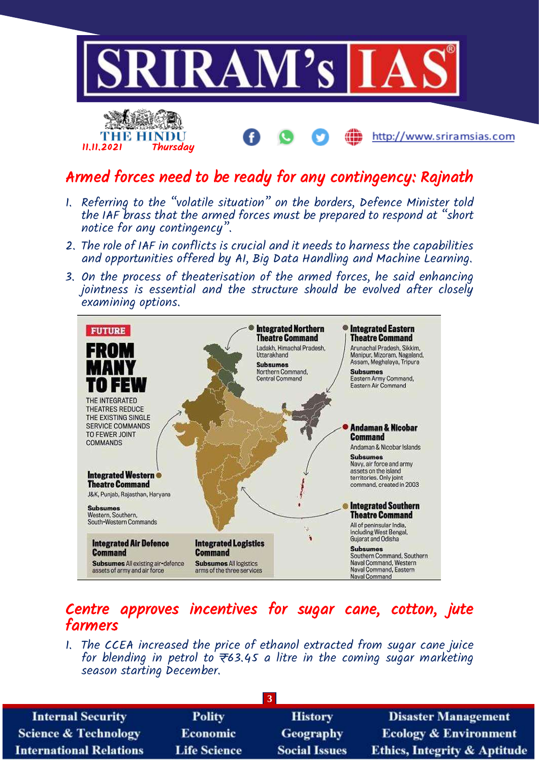

## Armed forces need to be ready for any contingency: Rajnath

- 1. Referring to the "volatile situation" on the borders, Defence Minister told the IAF brass that the armed forces must be prepared to respond at "short notice for any contingency".
- 2. The role of IAF in conflicts is crucial and it needs to harness the capabilities and opportunities offered by AI, Big Data Handling and Machine Learning.
- 3. On the process of theaterisation of the armed forces, he said enhancing jointness is essential and the structure should be evolved after closely examining options.



### Centre approves incentives for sugar cane, cotton, jute farmers

1. The CCEA increased the price of ethanol extracted from sugar cane juice for blending in petrol to  $\overline{\tau}$ 63.45 a litre in the coming sugar marketing season starting becember.

| <b>Internal Security</b>        | <b>Polity</b>       | <b>History</b>       | <b>Disaster Management</b>              |  |  |
|---------------------------------|---------------------|----------------------|-----------------------------------------|--|--|
| <b>Science &amp; Technology</b> | <b>Economic</b>     | <b>Geography</b>     | <b>Ecology &amp; Environment</b>        |  |  |
| <b>International Relations</b>  | <b>Life Science</b> | <b>Social Issues</b> | <b>Ethics, Integrity &amp; Aptitude</b> |  |  |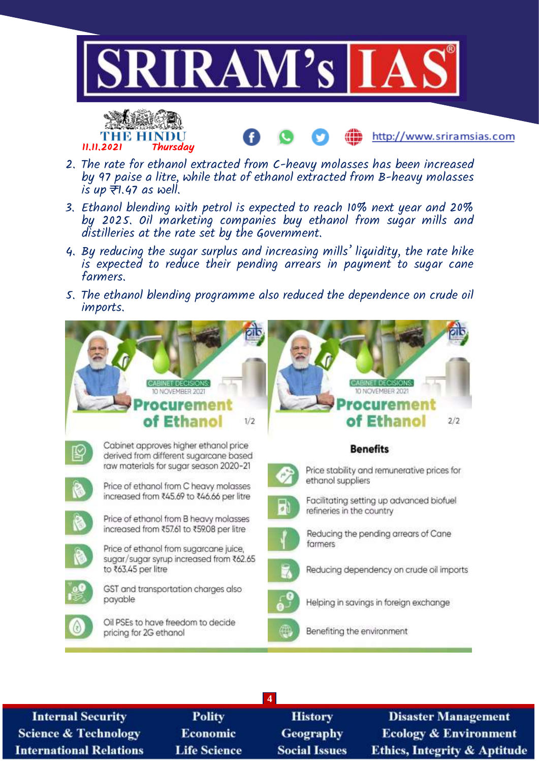





- 2. The rate for ethanol extracted from C-heavy molasses has been increased by 97 paise a litre, while that of ethanol extracted from B-heavy molasses  $i\overline{s}$  up  $\overline{\overline{\tau}}$ 1.47 as well.
- 3. Ethanol blending with petrol is expected to reach 10% next year and 20% by 2025. Oil marketing companies buy ethanol from sugar mills and distilleries at the rate set by the Government.
- 4. By reducing the sugar surplus and increasing mills' liquidity, the rate hike is expected to reduce their pending arrears in payment to sugar cane farmers.
- 5. The ethanol blending programme also reduced the dependence on crude oil imports.



**4 Internal Security Polity Disaster Management History Science & Technology** Economic Geography **Ecology & Environment International Relations Life Science Social Issues** Ethics, Integrity & Aptitude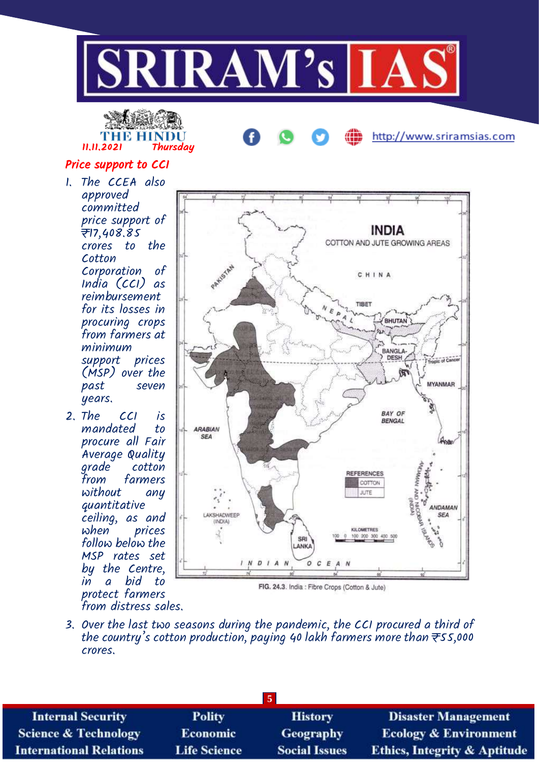



http://www.sriramsias.com

### Price support to CCI

- 1. The CCEA also approved committed price support of ₹17,408.85 crores to the Cotton Corporation of India (CCI) as reimbursement for its losses in procuring crops from farmers at minimum support prices (MSP) over the past seven years.
- 2. The CCI is mandated to procure all Fair Average Quality grade cotton<br>from farmers farmers without any quantitative ceiling, as and prices follow below the MSP rates set by the Centre, in a bid to protect farmers from distress sales.



3. Over the last two seasons during the pandemic, the CCI procured a third of the country's cotton production, paying 40 lakh farmers more than  $\overline{\tau}$ 55,000 crores.

| <b>Internal Security</b>        | <b>Polity</b>       | <b>History</b>       | <b>Disaster Management</b>              |  |  |
|---------------------------------|---------------------|----------------------|-----------------------------------------|--|--|
| <b>Science &amp; Technology</b> | <b>Economic</b>     | <b>Geography</b>     | <b>Ecology &amp; Environment</b>        |  |  |
| <b>International Relations</b>  | <b>Life Science</b> | <b>Social Issues</b> | <b>Ethics, Integrity &amp; Aptitude</b> |  |  |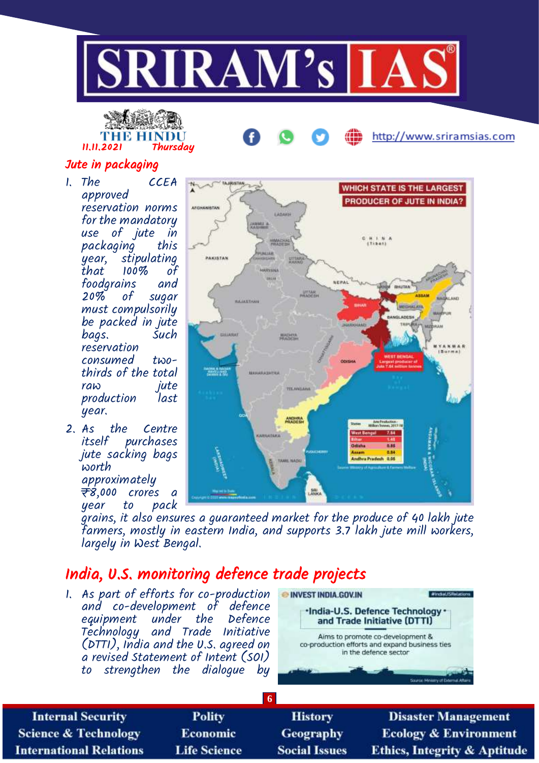



http://www.sriramsias.com

### Jute in packaging

- 1. The CCEA approved reservation norms for the mandatory use of jute in packaging this<br>year, stipulating year, stipulating<br>that 100% of  $100\%$  of foodgrains and sugar must compulsorily be packed in jute bags. Such reservation consumed twothirds of the total raw jute<br>production last production year.
- 2. As the Centre purchases jute sacking bags worth approximately <del>₹</del>8,000 crores a<br>year to pack year to pack



grains, it also ensures a guaranteed market for the produce of 40 lakh jute farmers, mostly in eastern India, and supports 3.7 lakh jute mill workers, largely in West Bengal.

## India, U.S. monitoring defence trade projects

1. As part of efforts for co-production and co-development of defence equipment under the Defence Technology and Trade Initiative (DTTI), India and the U.S. agreed on a revised Statement of Intent (SOI) to strengthen the dialogue by



**6 Internal Security Polity History Disaster Management Science & Technology Economic Geography Ecology & Environment International Relations Life Science Social Issues Ethics, Integrity & Aptitude**